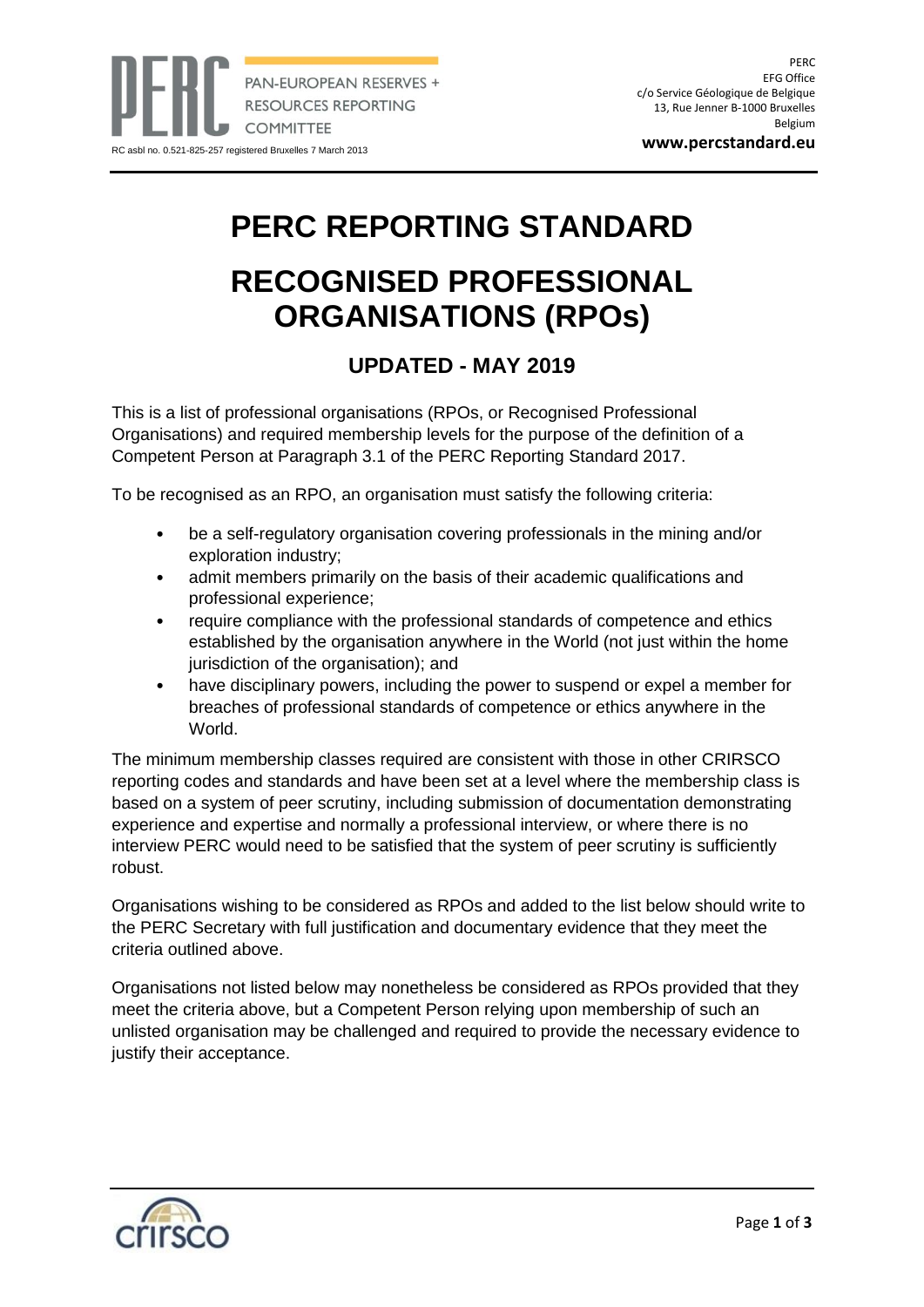**www.percstandard.eu**

## **PERC REPORTING STANDARD**

## **RECOGNISED PROFESSIONAL ORGANISATIONS (RPOs)**

## **UPDATED - MAY 2019**

This is a list of professional organisations (RPOs, or Recognised Professional Organisations) and required membership levels for the purpose of the definition of a Competent Person at Paragraph 3.1 of the PERC Reporting Standard 2017.

To be recognised as an RPO, an organisation must satisfy the following criteria:

- be a self-regulatory organisation covering professionals in the mining and/or exploration industry;
- admit members primarily on the basis of their academic qualifications and professional experience;
- require compliance with the professional standards of competence and ethics established by the organisation anywhere in the World (not just within the home jurisdiction of the organisation); and
- have disciplinary powers, including the power to suspend or expel a member for breaches of professional standards of competence or ethics anywhere in the World.

The minimum membership classes required are consistent with those in other CRIRSCO reporting codes and standards and have been set at a level where the membership class is based on a system of peer scrutiny, including submission of documentation demonstrating experience and expertise and normally a professional interview, or where there is no interview PERC would need to be satisfied that the system of peer scrutiny is sufficiently robust.

Organisations wishing to be considered as RPOs and added to the list below should write to the PERC Secretary with full justification and documentary evidence that they meet the criteria outlined above.

Organisations not listed below may nonetheless be considered as RPOs provided that they meet the criteria above, but a Competent Person relying upon membership of such an unlisted organisation may be challenged and required to provide the necessary evidence to justify their acceptance.

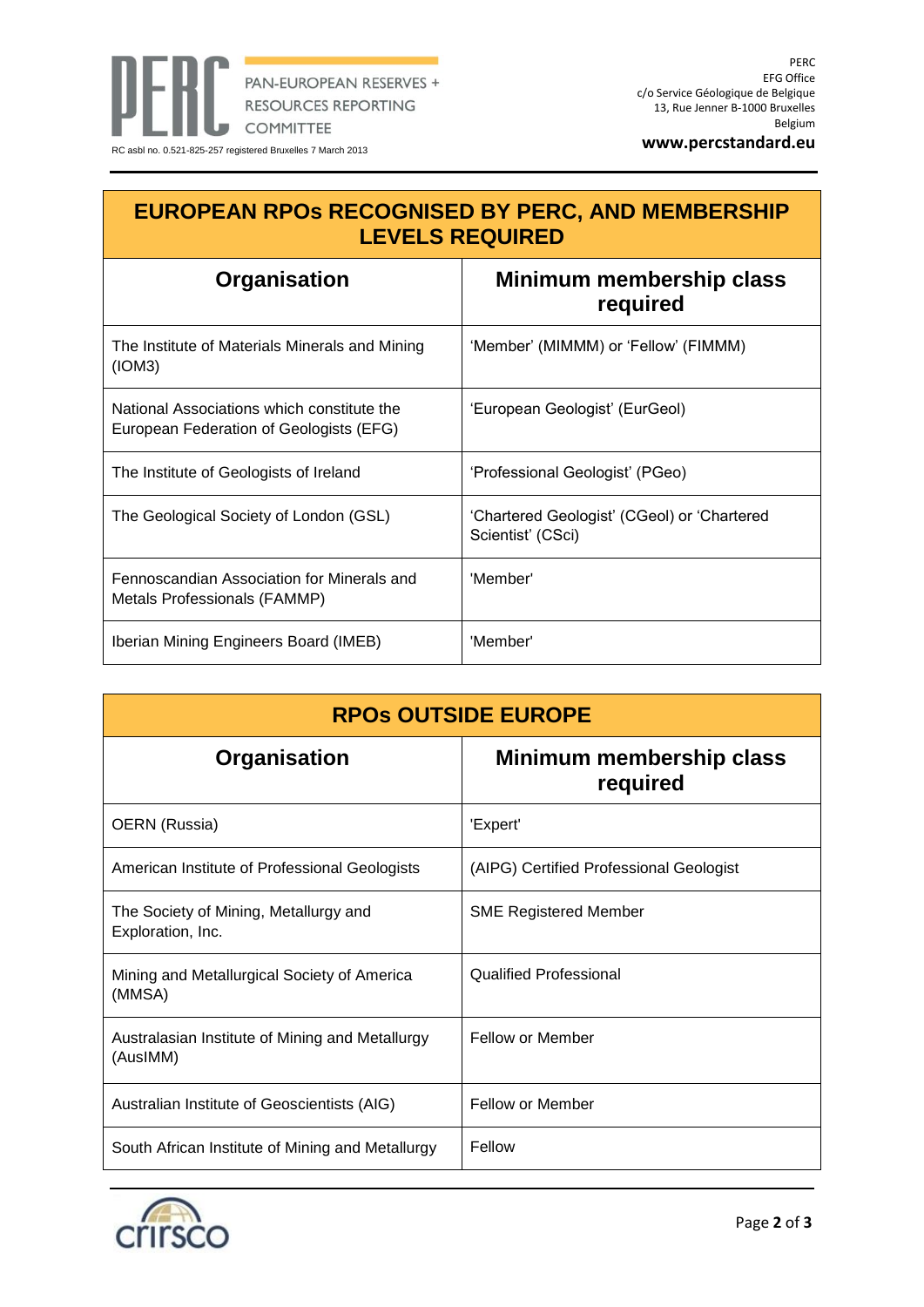**www.percstandard.eu**

| <b>EUROPEAN RPOS RECOGNISED BY PERC, AND MEMBERSHIP</b><br><b>LEVELS REQUIRED</b>     |                                                                  |
|---------------------------------------------------------------------------------------|------------------------------------------------------------------|
| Organisation                                                                          | Minimum membership class<br>required                             |
| The Institute of Materials Minerals and Mining<br>(ION3)                              | 'Member' (MIMMM) or 'Fellow' (FIMMM)                             |
| National Associations which constitute the<br>European Federation of Geologists (EFG) | 'European Geologist' (EurGeol)                                   |
| The Institute of Geologists of Ireland                                                | 'Professional Geologist' (PGeo)                                  |
| The Geological Society of London (GSL)                                                | 'Chartered Geologist' (CGeol) or 'Chartered<br>Scientist' (CSci) |
| Fennoscandian Association for Minerals and<br>Metals Professionals (FAMMP)            | 'Member'                                                         |
| Iberian Mining Engineers Board (IMEB)                                                 | 'Member'                                                         |

| <b>RPOS OUTSIDE EUROPE</b>                                  |                                         |
|-------------------------------------------------------------|-----------------------------------------|
| Organisation                                                | Minimum membership class<br>required    |
| OERN (Russia)                                               | 'Expert'                                |
| American Institute of Professional Geologists               | (AIPG) Certified Professional Geologist |
| The Society of Mining, Metallurgy and<br>Exploration, Inc.  | <b>SME Registered Member</b>            |
| Mining and Metallurgical Society of America<br>(MMSA)       | <b>Qualified Professional</b>           |
| Australasian Institute of Mining and Metallurgy<br>(AusIMM) | <b>Fellow or Member</b>                 |
| Australian Institute of Geoscientists (AIG)                 | <b>Fellow or Member</b>                 |
| South African Institute of Mining and Metallurgy            | Fellow                                  |